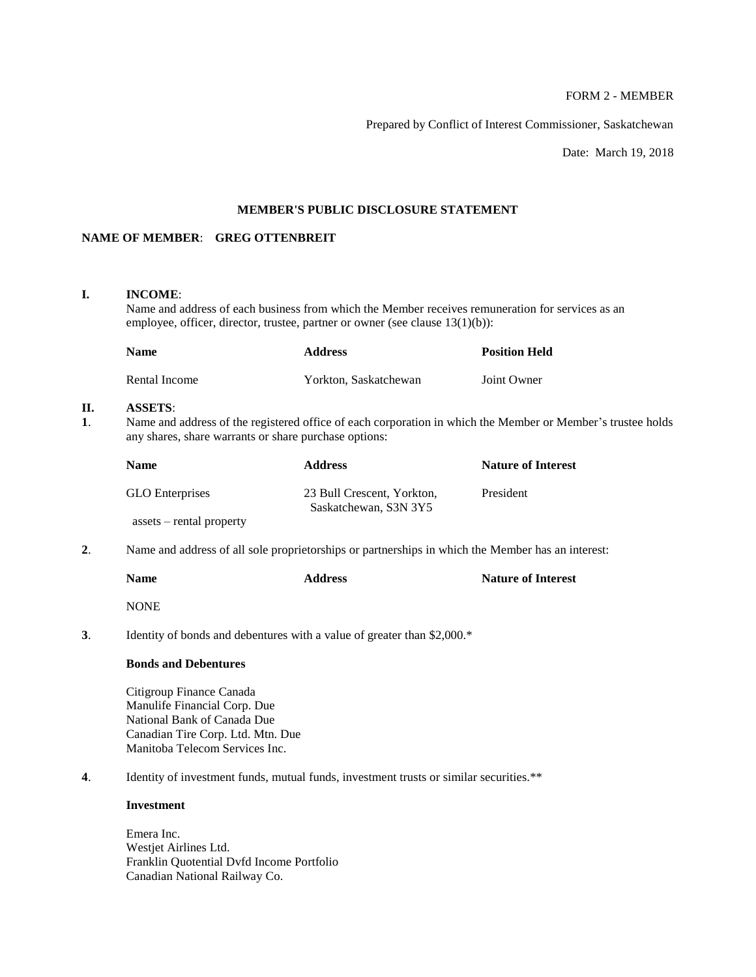# FORM 2 - MEMBER

Prepared by Conflict of Interest Commissioner, Saskatchewan

Date: March 19, 2018

# **MEMBER'S PUBLIC DISCLOSURE STATEMENT**

## **NAME OF MEMBER**: **GREG OTTENBREIT**

## **I. INCOME**:

Name and address of each business from which the Member receives remuneration for services as an employee, officer, director, trustee, partner or owner (see clause 13(1)(b)):

| <b>Name</b>   | <b>Address</b>        | <b>Position Held</b> |
|---------------|-----------------------|----------------------|
| Rental Income | Yorkton, Saskatchewan | Joint Owner          |

## **II. ASSETS**:

**1**. Name and address of the registered office of each corporation in which the Member or Member's trustee holds any shares, share warrants or share purchase options:

| Name                            | <b>Address</b>                                      | <b>Nature of Interest</b> |
|---------------------------------|-----------------------------------------------------|---------------------------|
| <b>GLO</b> Enterprises          | 23 Bull Crescent, Yorkton,<br>Saskatchewan, S3N 3Y5 | President                 |
| $\:$ assets $-$ rental property |                                                     |                           |

**2**. Name and address of all sole proprietorships or partnerships in which the Member has an interest:

| <b>Name</b> | <b>Address</b> | <b>Nature of Interest</b> |
|-------------|----------------|---------------------------|
| <b>NONE</b> |                |                           |

**3**. Identity of bonds and debentures with a value of greater than \$2,000.\*

## **Bonds and Debentures**

Citigroup Finance Canada Manulife Financial Corp. Due National Bank of Canada Due Canadian Tire Corp. Ltd. Mtn. Due Manitoba Telecom Services Inc.

**4**. Identity of investment funds, mutual funds, investment trusts or similar securities.\*\*

## **Investment**

Emera Inc. Westjet Airlines Ltd. Franklin Quotential Dvfd Income Portfolio Canadian National Railway Co.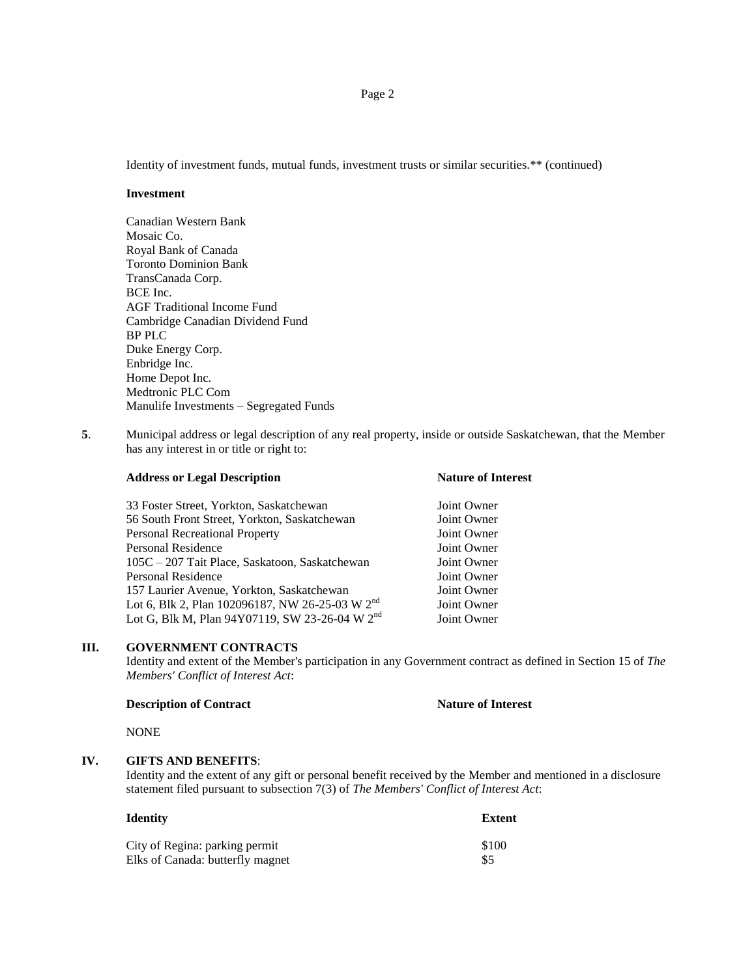Identity of investment funds, mutual funds, investment trusts or similar securities.\*\* (continued)

## **Investment**

Canadian Western Bank Mosaic Co. Royal Bank of Canada Toronto Dominion Bank TransCanada Corp. BCE Inc. AGF Traditional Income Fund Cambridge Canadian Dividend Fund BP PLC Duke Energy Corp. Enbridge Inc. Home Depot Inc. Medtronic PLC Com Manulife Investments – Segregated Funds

**5**. Municipal address or legal description of any real property, inside or outside Saskatchewan, that the Member has any interest in or title or right to:

| Joint Owner |
|-------------|
| Joint Owner |
| Joint Owner |
| Joint Owner |
| Joint Owner |
| Joint Owner |
| Joint Owner |
| Joint Owner |
| Joint Owner |
|             |

**Address or Legal Description Nature of Interest**

## **III. GOVERNMENT CONTRACTS**

Identity and extent of the Member's participation in any Government contract as defined in Section 15 of *The Members' Conflict of Interest Act*:

#### **Description of Contract Nature of Interest**

NONE

# **IV. GIFTS AND BENEFITS**:

Identity and the extent of any gift or personal benefit received by the Member and mentioned in a disclosure statement filed pursuant to subsection 7(3) of *The Members' Conflict of Interest Act*:

| Identitv                         | <b>Extent</b> |
|----------------------------------|---------------|
| City of Regina: parking permit   | \$100         |
| Elks of Canada: butterfly magnet | \$5           |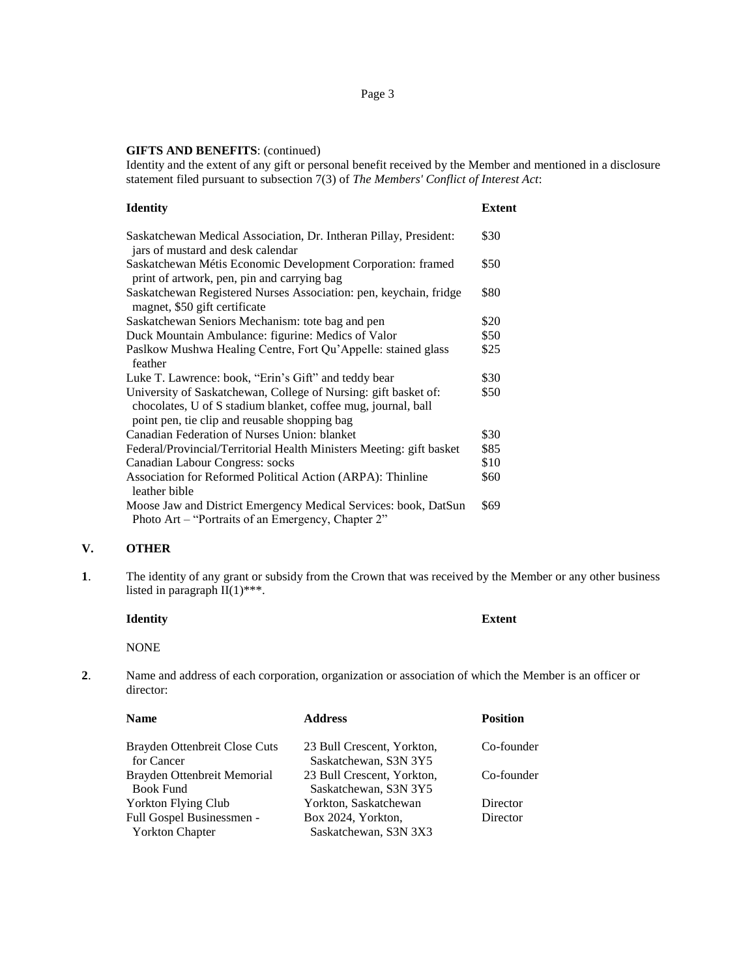#### **GIFTS AND BENEFITS**: (continued)

Identity and the extent of any gift or personal benefit received by the Member and mentioned in a disclosure statement filed pursuant to subsection 7(3) of *The Members' Conflict of Interest Act*:

## **Identity Extent**

| Saskatchewan Medical Association, Dr. Intheran Pillay, President:<br>jars of mustard and desk calendar                                                                            | \$30 |
|-----------------------------------------------------------------------------------------------------------------------------------------------------------------------------------|------|
| Saskatchewan Métis Economic Development Corporation: framed<br>print of artwork, pen, pin and carrying bag                                                                        | \$50 |
| Saskatchewan Registered Nurses Association: pen, keychain, fridge<br>magnet, \$50 gift certificate                                                                                | \$80 |
| Saskatchewan Seniors Mechanism: tote bag and pen                                                                                                                                  | \$20 |
| Duck Mountain Ambulance: figurine: Medics of Valor                                                                                                                                | \$50 |
| Pasikow Mushwa Healing Centre, Fort Qu'Appelle: stained glass<br>feather                                                                                                          | \$25 |
| Luke T. Lawrence: book, "Erin's Gift" and teddy bear                                                                                                                              | \$30 |
| University of Saskatchewan, College of Nursing: gift basket of:<br>chocolates, U of S stadium blanket, coffee mug, journal, ball<br>point pen, tie clip and reusable shopping bag | \$50 |
| Canadian Federation of Nurses Union: blanket                                                                                                                                      | \$30 |
| Federal/Provincial/Territorial Health Ministers Meeting: gift basket                                                                                                              | \$85 |
| Canadian Labour Congress: socks                                                                                                                                                   | \$10 |
| Association for Reformed Political Action (ARPA): Thinline<br>leather bible                                                                                                       | \$60 |
| Moose Jaw and District Emergency Medical Services: book, DatSun<br>Photo Art – "Portraits of an Emergency, Chapter 2"                                                             | \$69 |

## **V. OTHER**

**1**. The identity of any grant or subsidy from the Crown that was received by the Member or any other business listed in paragraph  $II(1)$ \*\*\*.

# **Identity Extent**

## NONE

**2**. Name and address of each corporation, organization or association of which the Member is an officer or director:

| <b>Name</b>                                     | <b>Address</b>                                      | <b>Position</b> |
|-------------------------------------------------|-----------------------------------------------------|-----------------|
| Brayden Ottenbreit Close Cuts<br>for Cancer     | 23 Bull Crescent, Yorkton,<br>Saskatchewan, S3N 3Y5 | Co-founder      |
| Brayden Ottenbreit Memorial<br><b>Book Fund</b> | 23 Bull Crescent, Yorkton,<br>Saskatchewan, S3N 3Y5 | Co-founder      |
| <b>Yorkton Flying Club</b>                      | Yorkton, Saskatchewan                               | Director        |
| Full Gospel Businessmen -                       | Box 2024, Yorkton,                                  | Director        |
| <b>Yorkton Chapter</b>                          | Saskatchewan, S3N 3X3                               |                 |
|                                                 |                                                     |                 |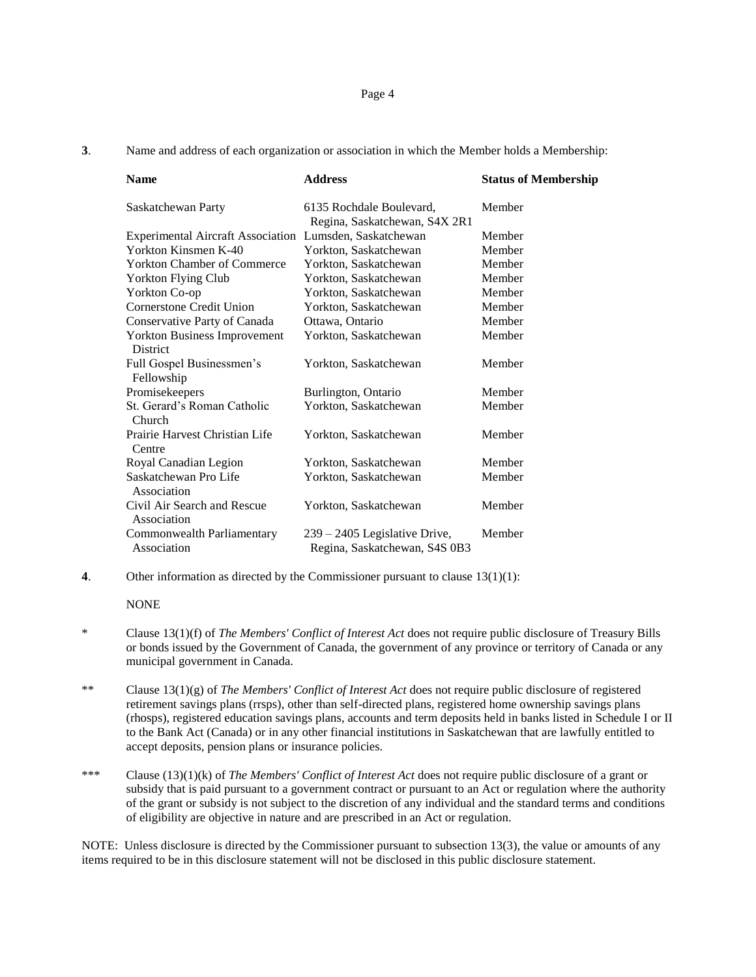**3**. Name and address of each organization or association in which the Member holds a Membership:

| <b>Name</b>                                             | <b>Address</b>                                                 | <b>Status of Membership</b> |
|---------------------------------------------------------|----------------------------------------------------------------|-----------------------------|
| Saskatchewan Party                                      | 6135 Rochdale Boulevard,<br>Regina, Saskatchewan, S4X 2R1      | Member                      |
| Experimental Aircraft Association Lumsden, Saskatchewan |                                                                | Member                      |
| Yorkton Kinsmen K-40                                    | Yorkton, Saskatchewan                                          | Member                      |
| Yorkton Chamber of Commerce                             | Yorkton, Saskatchewan                                          | Member                      |
| <b>Yorkton Flying Club</b>                              | Yorkton, Saskatchewan                                          | Member                      |
| Yorkton Co-op                                           | Yorkton, Saskatchewan                                          | Member                      |
| Cornerstone Credit Union                                | Yorkton, Saskatchewan                                          | Member                      |
| Conservative Party of Canada                            | Ottawa, Ontario                                                | Member                      |
| <b>Yorkton Business Improvement</b><br>District         | Yorkton, Saskatchewan                                          | Member                      |
| Full Gospel Businessmen's<br>Fellowship                 | Yorkton, Saskatchewan                                          | Member                      |
| Promisekeepers                                          | Burlington, Ontario                                            | Member                      |
| St. Gerard's Roman Catholic<br>Church                   | Yorkton, Saskatchewan                                          | Member                      |
| Prairie Harvest Christian Life<br>Centre                | Yorkton, Saskatchewan                                          | Member                      |
| Royal Canadian Legion                                   | Yorkton, Saskatchewan                                          | Member                      |
| Saskatchewan Pro Life<br>Association                    | Yorkton, Saskatchewan                                          | Member                      |
| Civil Air Search and Rescue<br>Association              | Yorkton, Saskatchewan                                          | Member                      |
| Commonwealth Parliamentary<br>Association               | 239 - 2405 Legislative Drive,<br>Regina, Saskatchewan, S4S 0B3 | Member                      |

**4**. Other information as directed by the Commissioner pursuant to clause 13(1)(1):

#### **NONE**

- \* Clause 13(1)(f) of *The Members' Conflict of Interest Act* does not require public disclosure of Treasury Bills or bonds issued by the Government of Canada, the government of any province or territory of Canada or any municipal government in Canada.
- \*\* Clause 13(1)(g) of *The Members' Conflict of Interest Act* does not require public disclosure of registered retirement savings plans (rrsps), other than self-directed plans, registered home ownership savings plans (rhosps), registered education savings plans, accounts and term deposits held in banks listed in Schedule I or II to the Bank Act (Canada) or in any other financial institutions in Saskatchewan that are lawfully entitled to accept deposits, pension plans or insurance policies.
- \*\*\* Clause (13)(1)(k) of *The Members' Conflict of Interest Act* does not require public disclosure of a grant or subsidy that is paid pursuant to a government contract or pursuant to an Act or regulation where the authority of the grant or subsidy is not subject to the discretion of any individual and the standard terms and conditions of eligibility are objective in nature and are prescribed in an Act or regulation.

NOTE: Unless disclosure is directed by the Commissioner pursuant to subsection 13(3), the value or amounts of any items required to be in this disclosure statement will not be disclosed in this public disclosure statement.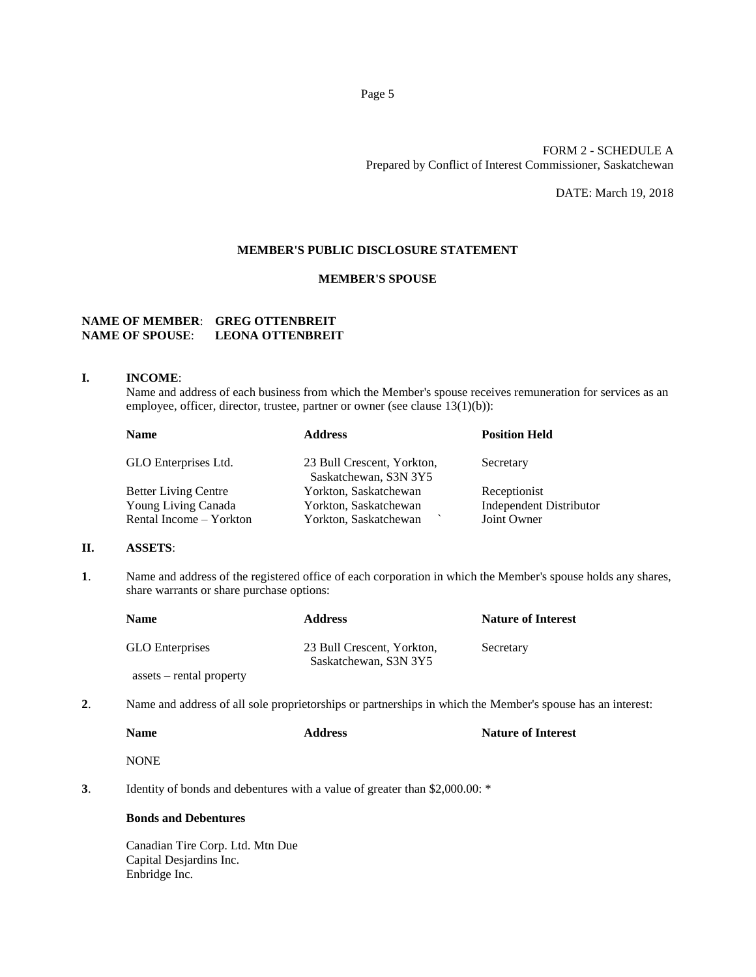## FORM 2 - SCHEDULE A Prepared by Conflict of Interest Commissioner, Saskatchewan

DATE: March 19, 2018

## **MEMBER'S PUBLIC DISCLOSURE STATEMENT**

## **MEMBER'S SPOUSE**

# **NAME OF MEMBER**: **GREG OTTENBREIT NAME OF SPOUSE**: **LEONA OTTENBREIT**

#### **I. INCOME**:

Name and address of each business from which the Member's spouse receives remuneration for services as an employee, officer, director, trustee, partner or owner (see clause 13(1)(b)):

| <b>Name</b>                 | <b>Address</b>                                      | <b>Position Held</b>    |
|-----------------------------|-----------------------------------------------------|-------------------------|
| GLO Enterprises Ltd.        | 23 Bull Crescent, Yorkton,<br>Saskatchewan, S3N 3Y5 | Secretary               |
| <b>Better Living Centre</b> | Yorkton, Saskatchewan                               | Receptionist            |
| Young Living Canada         | Yorkton, Saskatchewan                               | Independent Distributor |
| Rental Income – Yorkton     | Yorkton, Saskatchewan                               | Joint Owner             |

#### **II. ASSETS**:

**1**. Name and address of the registered office of each corporation in which the Member's spouse holds any shares, share warrants or share purchase options:

| <b>Name</b>                     | <b>Address</b>                                      | <b>Nature of Interest</b> |
|---------------------------------|-----------------------------------------------------|---------------------------|
| <b>GLO</b> Enterprises          | 23 Bull Crescent, Yorkton,<br>Saskatchewan, S3N 3Y5 | Secretary                 |
| $\:$ assets $-$ rental property |                                                     |                           |

**2**. Name and address of all sole proprietorships or partnerships in which the Member's spouse has an interest:

| <b>Name</b> | <b>Address</b> | <b>Nature of Interest</b> |
|-------------|----------------|---------------------------|
| <b>NONE</b> |                |                           |

**3**. Identity of bonds and debentures with a value of greater than \$2,000.00: \*

#### **Bonds and Debentures**

Canadian Tire Corp. Ltd. Mtn Due Capital Desjardins Inc. Enbridge Inc.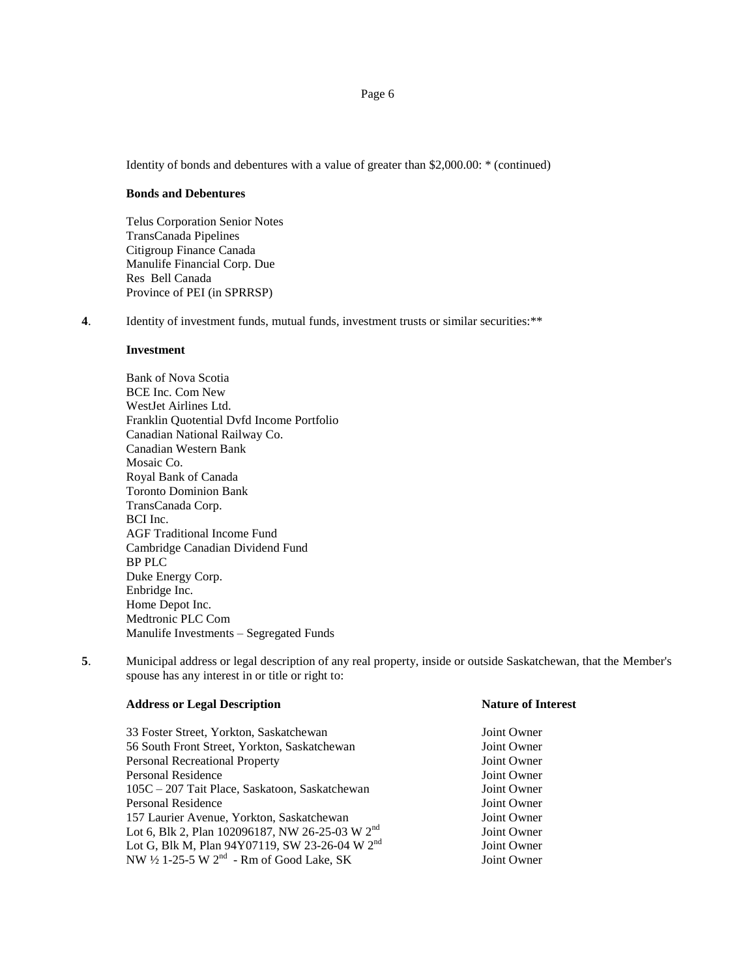Identity of bonds and debentures with a value of greater than \$2,000.00: \* (continued)

## **Bonds and Debentures**

Telus Corporation Senior Notes TransCanada Pipelines Citigroup Finance Canada Manulife Financial Corp. Due Res Bell Canada Province of PEI (in SPRRSP)

**4**. Identity of investment funds, mutual funds, investment trusts or similar securities:\*\*

## **Investment**

Bank of Nova Scotia BCE Inc. Com New WestJet Airlines Ltd. Franklin Quotential Dvfd Income Portfolio Canadian National Railway Co. Canadian Western Bank Mosaic Co. Royal Bank of Canada Toronto Dominion Bank TransCanada Corp. BCI Inc. AGF Traditional Income Fund Cambridge Canadian Dividend Fund BP PLC Duke Energy Corp. Enbridge Inc. Home Depot Inc. Medtronic PLC Com Manulife Investments – Segregated Funds

**5**. Municipal address or legal description of any real property, inside or outside Saskatchewan, that the Member's spouse has any interest in or title or right to:

| 33 Foster Street, Yorkton, Saskatchewan                    | Joint Owner |
|------------------------------------------------------------|-------------|
| 56 South Front Street, Yorkton, Saskatchewan               | Joint Owner |
| <b>Personal Recreational Property</b>                      | Joint Owner |
| <b>Personal Residence</b>                                  | Joint Owner |
| 105C – 207 Tait Place, Saskatoon, Saskatchewan             | Joint Owner |
| <b>Personal Residence</b>                                  | Joint Owner |
| 157 Laurier Avenue, Yorkton, Saskatchewan                  | Joint Owner |
| Lot 6, Blk 2, Plan 102096187, NW 26-25-03 W $2nd$          | Joint Owner |
| Lot G, Blk M, Plan 94Y07119, SW 23-26-04 W 2 <sup>nd</sup> | Joint Owner |
| NW $\frac{1}{2}$ 1-25-5 W $2^{nd}$ - Rm of Good Lake, SK   | Joint Owner |
|                                                            |             |

#### **Address or Legal Description Nature of Interest**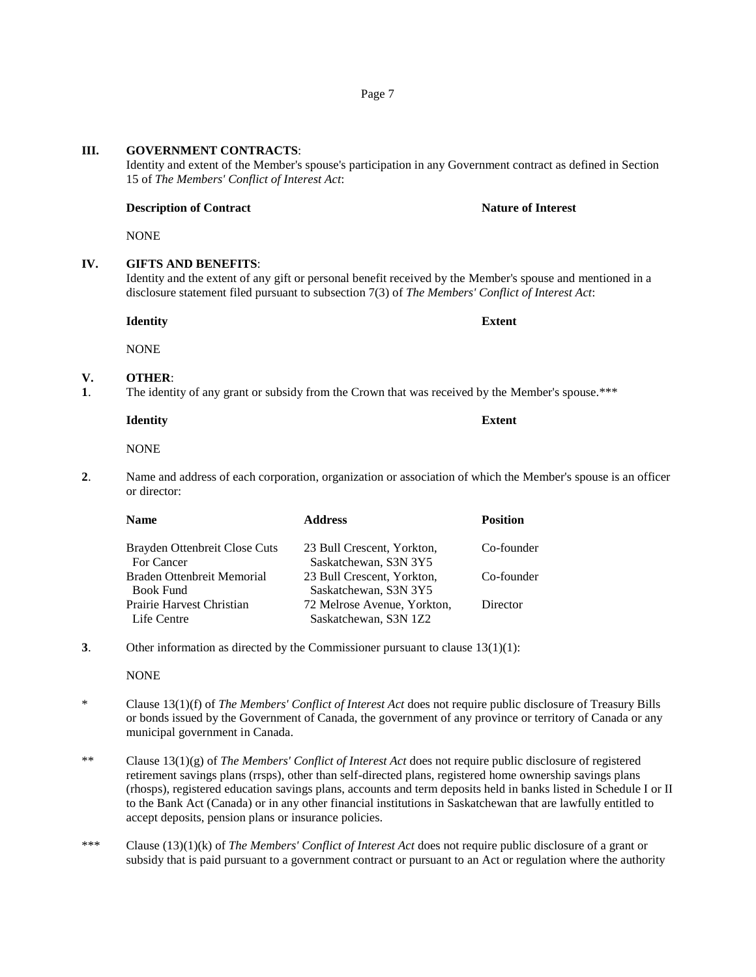# **III. GOVERNMENT CONTRACTS**:

Identity and extent of the Member's spouse's participation in any Government contract as defined in Section 15 of *The Members' Conflict of Interest Act*:

## **Description of Contract Nature of Interest Nature of Interest**

NONE

## **IV. GIFTS AND BENEFITS**:

Identity and the extent of any gift or personal benefit received by the Member's spouse and mentioned in a disclosure statement filed pursuant to subsection 7(3) of *The Members' Conflict of Interest Act*:

**Identity Extent**

NONE

## **V. OTHER**:

**1**. The identity of any grant or subsidy from the Crown that was received by the Member's spouse.\*\*\*

**Identity Extent**

**NONE** 

**2**. Name and address of each corporation, organization or association of which the Member's spouse is an officer or director:

| <b>Position</b> |
|-----------------|
| Co-founder      |
|                 |
| Director        |
|                 |

**3**. Other information as directed by the Commissioner pursuant to clause 13(1)(1):

NONE

- \* Clause 13(1)(f) of *The Members' Conflict of Interest Act* does not require public disclosure of Treasury Bills or bonds issued by the Government of Canada, the government of any province or territory of Canada or any municipal government in Canada.
- \*\* Clause 13(1)(g) of *The Members' Conflict of Interest Act* does not require public disclosure of registered retirement savings plans (rrsps), other than self-directed plans, registered home ownership savings plans (rhosps), registered education savings plans, accounts and term deposits held in banks listed in Schedule I or II to the Bank Act (Canada) or in any other financial institutions in Saskatchewan that are lawfully entitled to accept deposits, pension plans or insurance policies.
- \*\*\* Clause (13)(1)(k) of *The Members' Conflict of Interest Act* does not require public disclosure of a grant or subsidy that is paid pursuant to a government contract or pursuant to an Act or regulation where the authority